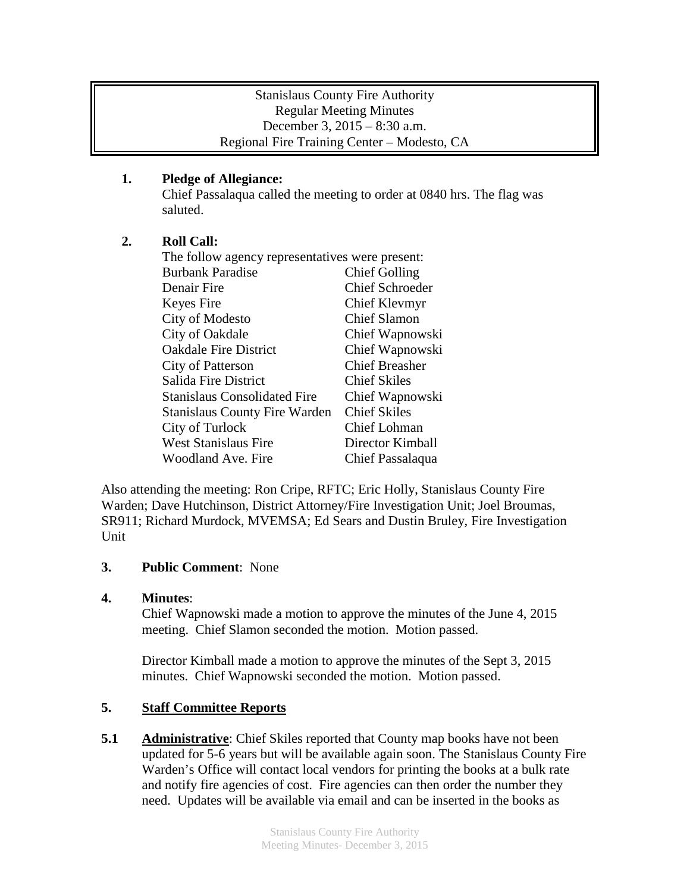### Stanislaus County Fire Authority Regular Meeting Minutes December 3, 2015 – 8:30 a.m. Regional Fire Training Center – Modesto, CA

## **1. Pledge of Allegiance:**

Chief Passalaqua called the meeting to order at 0840 hrs. The flag was saluted.

# **2. Roll Call:**

| The follow agency representatives were present: |                        |
|-------------------------------------------------|------------------------|
| <b>Burbank Paradise</b>                         | <b>Chief Golling</b>   |
| Denair Fire                                     | <b>Chief Schroeder</b> |
| Keyes Fire                                      | Chief Klevmyr          |
| City of Modesto                                 | <b>Chief Slamon</b>    |
| City of Oakdale                                 | Chief Wapnowski        |
| <b>Oakdale Fire District</b>                    | Chief Wapnowski        |
| <b>City of Patterson</b>                        | <b>Chief Breasher</b>  |
| Salida Fire District                            | <b>Chief Skiles</b>    |
| <b>Stanislaus Consolidated Fire</b>             | Chief Wapnowski        |
| <b>Stanislaus County Fire Warden</b>            | <b>Chief Skiles</b>    |
| City of Turlock                                 | Chief Lohman           |
| <b>West Stanislaus Fire</b>                     | Director Kimball       |
| Woodland Ave. Fire                              | Chief Passalaqua       |

Also attending the meeting: Ron Cripe, RFTC; Eric Holly, Stanislaus County Fire Warden; Dave Hutchinson, District Attorney/Fire Investigation Unit; Joel Broumas, SR911; Richard Murdock, MVEMSA; Ed Sears and Dustin Bruley, Fire Investigation **Unit** 

### **3. Public Comment**: None

### **4. Minutes**:

Chief Wapnowski made a motion to approve the minutes of the June 4, 2015 meeting. Chief Slamon seconded the motion. Motion passed.

Director Kimball made a motion to approve the minutes of the Sept 3, 2015 minutes. Chief Wapnowski seconded the motion. Motion passed.

# **5. Staff Committee Reports**

**5.1 Administrative**: Chief Skiles reported that County map books have not been updated for 5-6 years but will be available again soon. The Stanislaus County Fire Warden's Office will contact local vendors for printing the books at a bulk rate and notify fire agencies of cost. Fire agencies can then order the number they need. Updates will be available via email and can be inserted in the books as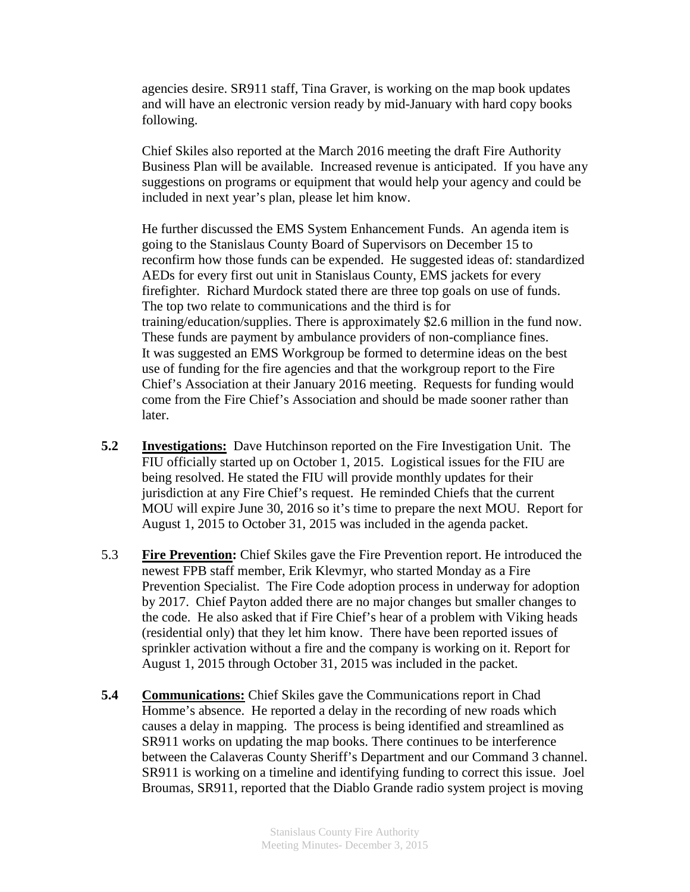agencies desire. SR911 staff, Tina Graver, is working on the map book updates and will have an electronic version ready by mid-January with hard copy books following.

Chief Skiles also reported at the March 2016 meeting the draft Fire Authority Business Plan will be available. Increased revenue is anticipated. If you have any suggestions on programs or equipment that would help your agency and could be included in next year's plan, please let him know.

He further discussed the EMS System Enhancement Funds. An agenda item is going to the Stanislaus County Board of Supervisors on December 15 to reconfirm how those funds can be expended. He suggested ideas of: standardized AEDs for every first out unit in Stanislaus County, EMS jackets for every firefighter. Richard Murdock stated there are three top goals on use of funds. The top two relate to communications and the third is for training/education/supplies. There is approximately \$2.6 million in the fund now. These funds are payment by ambulance providers of non-compliance fines. It was suggested an EMS Workgroup be formed to determine ideas on the best use of funding for the fire agencies and that the workgroup report to the Fire Chief's Association at their January 2016 meeting. Requests for funding would come from the Fire Chief's Association and should be made sooner rather than later.

- **5.2 Investigations:** Dave Hutchinson reported on the Fire Investigation Unit. The FIU officially started up on October 1, 2015. Logistical issues for the FIU are being resolved. He stated the FIU will provide monthly updates for their jurisdiction at any Fire Chief's request. He reminded Chiefs that the current MOU will expire June 30, 2016 so it's time to prepare the next MOU. Report for August 1, 2015 to October 31, 2015 was included in the agenda packet.
- 5.3 **Fire Prevention:** Chief Skiles gave the Fire Prevention report. He introduced the newest FPB staff member, Erik Klevmyr, who started Monday as a Fire Prevention Specialist. The Fire Code adoption process in underway for adoption by 2017. Chief Payton added there are no major changes but smaller changes to the code. He also asked that if Fire Chief's hear of a problem with Viking heads (residential only) that they let him know. There have been reported issues of sprinkler activation without a fire and the company is working on it. Report for August 1, 2015 through October 31, 2015 was included in the packet.
- **5.4 Communications:** Chief Skiles gave the Communications report in Chad Homme's absence. He reported a delay in the recording of new roads which causes a delay in mapping. The process is being identified and streamlined as SR911 works on updating the map books. There continues to be interference between the Calaveras County Sheriff's Department and our Command 3 channel. SR911 is working on a timeline and identifying funding to correct this issue. Joel Broumas, SR911, reported that the Diablo Grande radio system project is moving